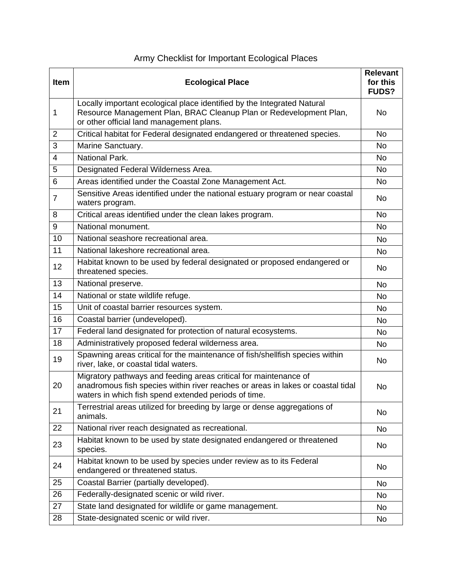| <b>Item</b>    | <b>Ecological Place</b>                                                                                                                                                                                    | Relevant<br>for this<br><b>FUDS?</b> |
|----------------|------------------------------------------------------------------------------------------------------------------------------------------------------------------------------------------------------------|--------------------------------------|
| 1              | Locally important ecological place identified by the Integrated Natural<br>Resource Management Plan, BRAC Cleanup Plan or Redevelopment Plan,<br>or other official land management plans.                  | No                                   |
| 2              | Critical habitat for Federal designated endangered or threatened species.                                                                                                                                  | <b>No</b>                            |
| 3              | Marine Sanctuary.                                                                                                                                                                                          | No                                   |
| 4              | National Park.                                                                                                                                                                                             | <b>No</b>                            |
| 5              | Designated Federal Wilderness Area.                                                                                                                                                                        | <b>No</b>                            |
| 6              | Areas identified under the Coastal Zone Management Act.                                                                                                                                                    | No                                   |
| $\overline{7}$ | Sensitive Areas identified under the national estuary program or near coastal<br>waters program.                                                                                                           | No                                   |
| 8              | Critical areas identified under the clean lakes program.                                                                                                                                                   | <b>No</b>                            |
| 9              | National monument.                                                                                                                                                                                         | <b>No</b>                            |
| 10             | National seashore recreational area.                                                                                                                                                                       | <b>No</b>                            |
| 11             | National lakeshore recreational area.                                                                                                                                                                      | <b>No</b>                            |
| 12             | Habitat known to be used by federal designated or proposed endangered or<br>threatened species.                                                                                                            | No                                   |
| 13             | National preserve.                                                                                                                                                                                         | <b>No</b>                            |
| 14             | National or state wildlife refuge.                                                                                                                                                                         | <b>No</b>                            |
| 15             | Unit of coastal barrier resources system.                                                                                                                                                                  | <b>No</b>                            |
| 16             | Coastal barrier (undeveloped).                                                                                                                                                                             | <b>No</b>                            |
| 17             | Federal land designated for protection of natural ecosystems.                                                                                                                                              | No                                   |
| 18             | Administratively proposed federal wilderness area.                                                                                                                                                         | <b>No</b>                            |
| 19             | Spawning areas critical for the maintenance of fish/shellfish species within<br>river, lake, or coastal tidal waters.                                                                                      | No                                   |
| 20             | Migratory pathways and feeding areas critical for maintenance of<br>anadromous fish species within river reaches or areas in lakes or coastal tidal<br>waters in which fish spend extended periods of time | <b>No</b>                            |
| 21             | Terrestrial areas utilized for breeding by large or dense aggregations of<br>animals.                                                                                                                      | No                                   |
| 22             | National river reach designated as recreational.                                                                                                                                                           | No                                   |
| 23             | Habitat known to be used by state designated endangered or threatened<br>species.                                                                                                                          | No                                   |
| 24             | Habitat known to be used by species under review as to its Federal<br>endangered or threatened status.                                                                                                     | No                                   |
| 25             | Coastal Barrier (partially developed).                                                                                                                                                                     | No                                   |
| 26             | Federally-designated scenic or wild river.                                                                                                                                                                 | No                                   |
| 27             | State land designated for wildlife or game management.                                                                                                                                                     | No                                   |
| 28             | State-designated scenic or wild river.                                                                                                                                                                     | No                                   |

## Army Checklist for Important Ecological Places